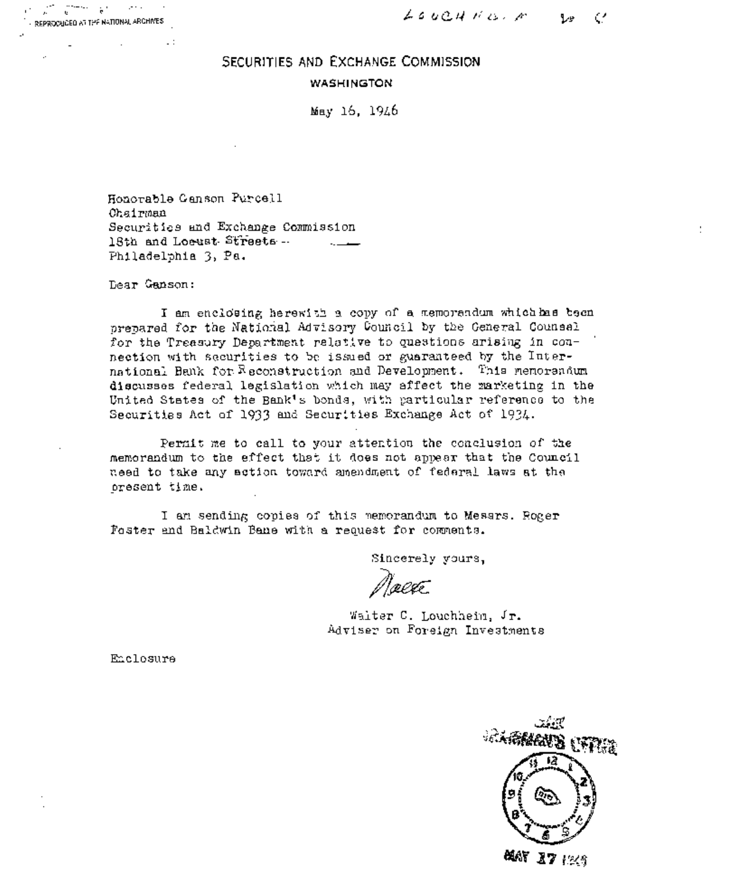# SECURITIES AND EXCHANGE COMMISSION **WASHINGTON**

May 16, 1946

Honorable Canson Purcell Chairman Securities and Exchange Commission 18th and Locust Streets --Philadelphia 3, Pa.

Dear Ganson:

 $\mathbb{R}^2$ 

I am enclosing herewith a copy of a memorandum which has been prepared for the National Advisory Council by the General Counsal for the Treasury Department relative to questions arising in connection with securities to be issued or guaranteed by the International Bank for Reconstruction and Development. This memorandum discusses federal legislation which may affect the marketing in the United States of the Bank's bonds, with particular reference to the Securities Act of 1933 and Securities Exchange Act of 1934.

Permit me to call to your attention the conclusion of the memorandum to the effect that it does not appear that the Council need to take any action toward amendment of federal laws at the oresent time.

I am sending copies of this memorandum to Messrs. Roger Foster and Baldwin Bane with a request for comments.

Sincerely yours,

@lete

Walter C. Louchheim, Jr. Adviser on Foreign Investments

Enclosure



MAY 17 1249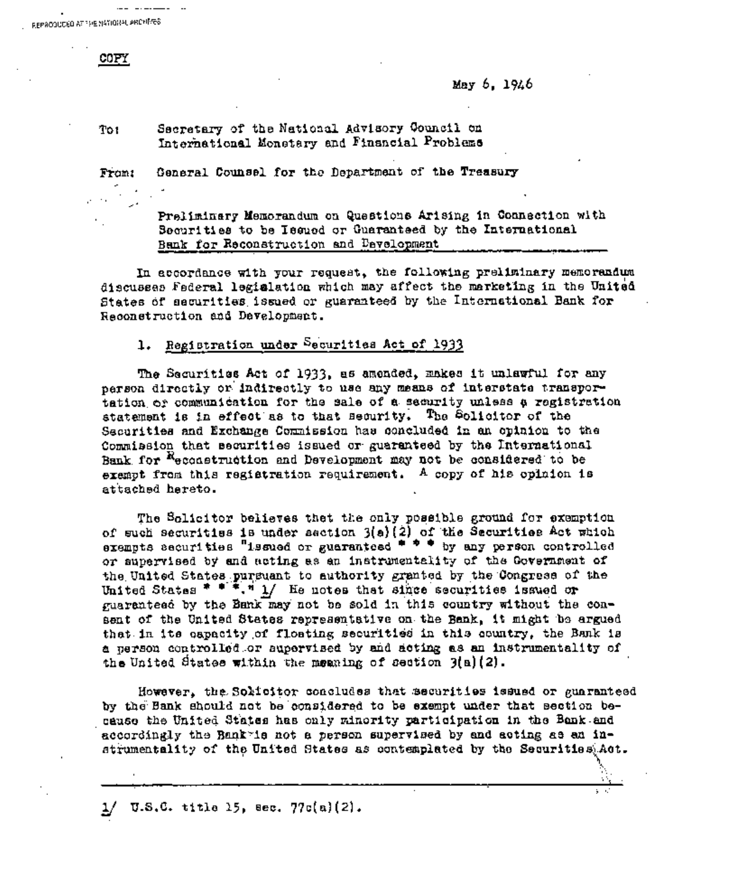REPRODUCED AT THE NATIONAL ARCHIVES

COPY

May 6, 1946

#### Secretary of the National Advisory Council on  $To1$ International Monetary and Financial Problems

General Counsel for the Department of the Treasury From:

> Preliminary Memorandum on Questions Arising in Connection with Securities to be Issued or Guaranteed by the International Bank for Reconstruction and Development

In accordance with your request, the following preliminary memorandum discusses Federal legislation which may affect the marketing in the United States of securities issued or guaranteed by the International Bank for Reconstruction and Development.

### 1. Registration under Securities Act of 1933

The Securities Act of 1933, as amended, makes it unlawful for any person directly or indirectly to use any means of interstate transportation or communication for the sale of a security unless a registration statement is in effect as to that security. The Solicitor of the Securities and Exchange Commission has concluded in an opinion to the Commission that securities issued or guaranteed by the International Bank for Reconstruction and Development may not be considered to be exampt from this registration requirement. A copy of his opinion is attached hereto.

The Solicitor believes thet the only possible ground for exemption of such securities is under aaction  $3(a)(2)$  of the Securities Act which<br>exempts securities "issued or guaranteed \* \* \* by any person controlled or supervised by and acting as an instrumentality of the Government of the United States pursuant to authority granted by the Congress of the United States \* \* \* \* 1/ He notes that since securities issued or guarantess by the Bank may not be sold in this country without the consent of the United States representative on the Bank, it might be argued that in its capacity of floating securities in this country, the Bank is a person controlled or supervised by and seting as an instrumentality of the United States within the meaning of section  $\mathfrak{Z}(\mathbf{a})$  (2).

However, the Solicitor concludes that securities issued or guaranteed by the Bank should not be considered to be exempt under that section because the United States has only minority participation in the Bank and accordingly the Bank is not a person supervised by and acting as an instrumentality of the United States as contemplated by the Securities Act.

 $1/$  U.S.C. title 15, sec. 77c(a)(2).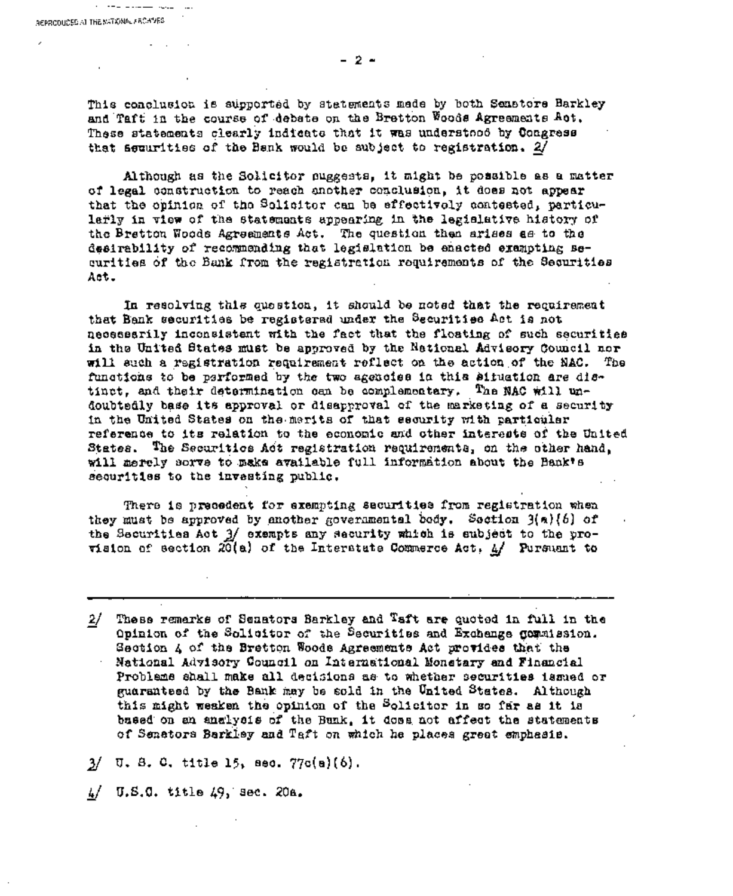$\mathbf{r}$ 

 $\mathcal{L} = \mathcal{L} \cdot \mathcal{L} = \mathcal{L} \cdot \mathcal{L} \cdot \mathcal{L} \cdot \mathcal{L} \cdot \mathcal{L} \cdot \mathcal{L} \cdot \mathcal{L} \cdot \mathcal{L}$ 

This conclusion is supported by statements mede by both Senstore Barkley and Taft in the course of debate on the Bretton Woods Agreements Act. These statements clearly indicate that it was understood by Congress that assurities of the Benk would be aubject to registration. 2/

Although as the Solicitor puggests, it might be possible as a matter of legal construction to reach another conclusion, it does not appear that the opinion of the Solicitor can be effectively contested, particularly in view of the statements appearing in the legislative history of the Bretton Woods Agreements Act. The question then arises as to the desirability of recommending that legislation be enacted exampting securities of the Bank from the registration requirements of the Securities Act.

In resolving this question, it should be noted that the requirement that Bank securities be registered under the Securities Act is not necesserily inconsistent with the fact that the floating of such securities in the United States must be approved by the Netional Advisory Council nor will such a registration requirement reflect on the action of the NAC. The functions to be parformed by the two agencies in this situation are distinct, and their determination can be complementary. The NAC will undoubtedly base its approval or disapproval of the marketing of a security in the United States on the merits of that security with particular reference to its relation to the economic and other interests of the United States. The Securities Act registration requirements, on the other hand, will merely sorve to make available full information about the Bank's securities to the investing public.

There is precedent for exempting securities from registration when they must be approved by enother governmental body. Section 3(a){6} of the Securities Act 3/ exempts any security which is subject to the provision of section  $20(a)$  of the Interatute Commerce Act.  $4/$  Pursuant to

These remarks of Senators Barkley and Taft are quoted in full in the  $2/$ Opinion of the Solicitor of the Securities and Exchange gommission. Section A of the Bretton Woods Agreements Act provides that the National Advisory Council on International Monetary and Financial Probleme shall make all decisions as to whether securities issued or guarantsed by the Bank may be sold in the United States. Although this might weaken the opinion of the Solicitor in so far as it is based on an analysis of the Bunk, it does not affect the statements of Senators Barkley and Taft on which he places great emphasis.

 $3/$  U. S. C. title 15, sec.  $77c(a)(6)$ .

 $\frac{1}{2}$ U.S.C. title 49, sec. 20a. - 2 -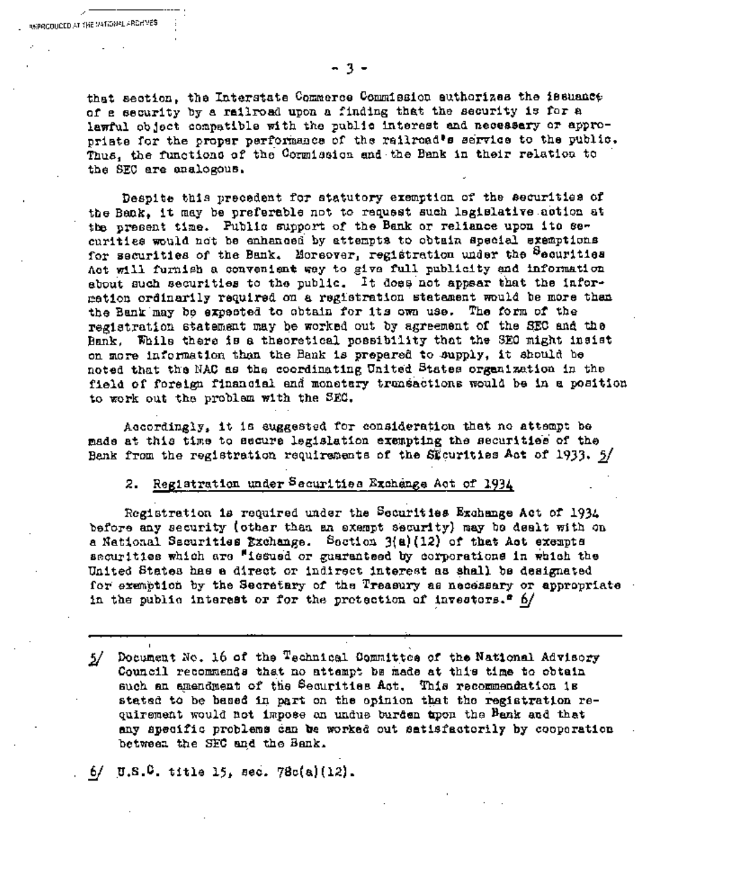t

that section, the Interstate Commerce Commission authorizes the issuance of a security by a railroad upon a finding that the security is for a lawful object compatible with the public interest and necessary or appropriate for the proper performance of the railroad's service to the public. Thus, the functions of the Cormission and the Bank in their relation to the SEO are analogous.

Despite this precedent for statutory exemption of the securities of the Bank, it may be preferable not to request such leglslative action at the present time. Public support of the Bank or reliance upon its securities would not be enhanced by attempts to obtain special exemptions for securities of the Bank, Moreover, registration under the <sup>S</sup>ecurities Act will furnish a convenient way to give full publicity and information about such securities to the public. It does not appear that the information ordinarily required on a registration statement would be more than the Bank may be expected to obtain for its own use. The form of the registration statement may be worked out by agreement of the SEO and the Bank. While there is a theoretical possibility that the SE0 might insist on more information than the Bank is prepared to supply, it should be noted that the NAC as the coordinating United States organization in the field of foreign financial and monetary transactions would be in a position to work out the problem with the SEC.

Accordingly, it is suggested for consideration that no attemp~ be made at this time to secure legislation exempting the securlties of the Bank from the registration requirements of the St curities Act of 1933.  $5/$ 

# 2. Registration under Securities Exchange Act of 1934

Registration is required under the Securities Exchange Act of 1934 before any security (other than an exempt securlty) may be dealt with on a National Securities Exchange. Section 3(a)(12) of that Act exempts securities which are "issued or guaranteed by corporations in which the United States has a direct or indirect interest as shall be designated for exemption by the Secretary of the Treasury as necessary or appropriate in the public interest or for the protection of investors.<sup> $e$ </sup> 6/

A Document No. 16 of the Technical Committee of the National Advisory  $\frac{5}{ }$ Council recommends that no attempt be made at this time to obtain such an amendment of the Securities Act. This recommendation is stated to be based in part on the opinion that the registration requirement would not impose an undue burden Upon the Bank and that any specific problems can be worked out satisfactorily by cooperation between the SEC and the Bank.

**6\_/ u.s.O, title 15, sac. 78c(a)(12).**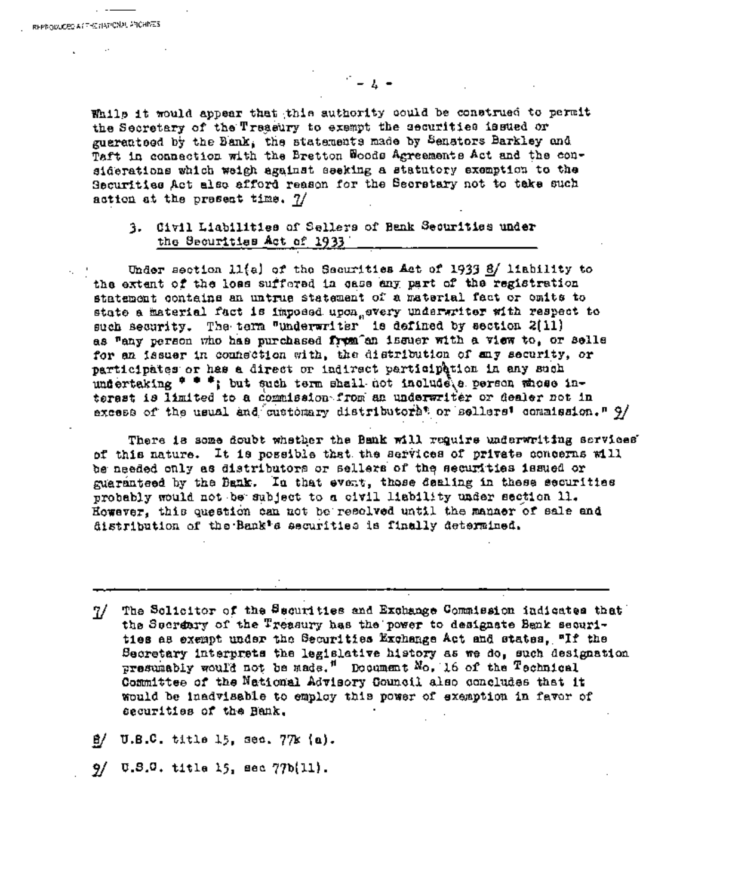$\mathcal{L} = L$ 

While it would appear that this authority could be construed to permit the Secretary of the Treasury to exempt the securities issued or gueranteed by the Bank, the statements made by Senators Barkley and Taft in connection with the Bretton Woods Agreements Act and the considerations which weigh against seeking a statutory exemption to the Securities Act also afford reason for the Secretary not to take such action at the present time. 7/

# 3. Civil Liabilities of Sellers of Bank Securities under the Securities Act of 1933

Under section 11(a) of the Securities Act of 1933 8/ liability to the extent of the loss suffered in case any part of the registration statement contains an untrue statement of a material fact or omits to state a material fact is imposed upon every underwriter with respect to such security. The term "underwriter" is defined by section 2(11) as "any person who has purchased from an issuer with a view to, or sells for an issuer in connection with, the distribution of any security, or participates or has a direct or indirect participation in any such undertaking \* \*\*; but such term shall not include a person whose interest is limited to a commission from an underwriter or dealer not in excess of the usual and customary distributors or sellers' commission." 9/

There is some doubt whether the Bank will require underwriting services. of this nature. It is possible that the services of private concerns will be needed only as distributors or sellers of the securities issued or guaranteed by the Bank. In that event, those dealing in these securities probably would not be subject to a civil liability under section 11. However, this question can not be resolved until the manner of sale and distribution of the Bank's securities is finally determined.

- $\mathcal{U}^-$ The Sclicitor of the Securities and Exchange Commission indicates that the Socreary of the Treasury has the power to designate Benk securities as exempt under the Securities Exchange Act and states, "If the Secretary interprets the legislative history as we do, such designation presumably would not be made." Document Mo. 16 of the Technical Committee of the National Advisory Council also concludes that it would be inadvisable to employ this power of exemption in favor of securities of the Bank.
- $g/$  U.B.C. title 15, sec. 77k (a).
- 9/ U.S.C. title 15, sec 77b(11).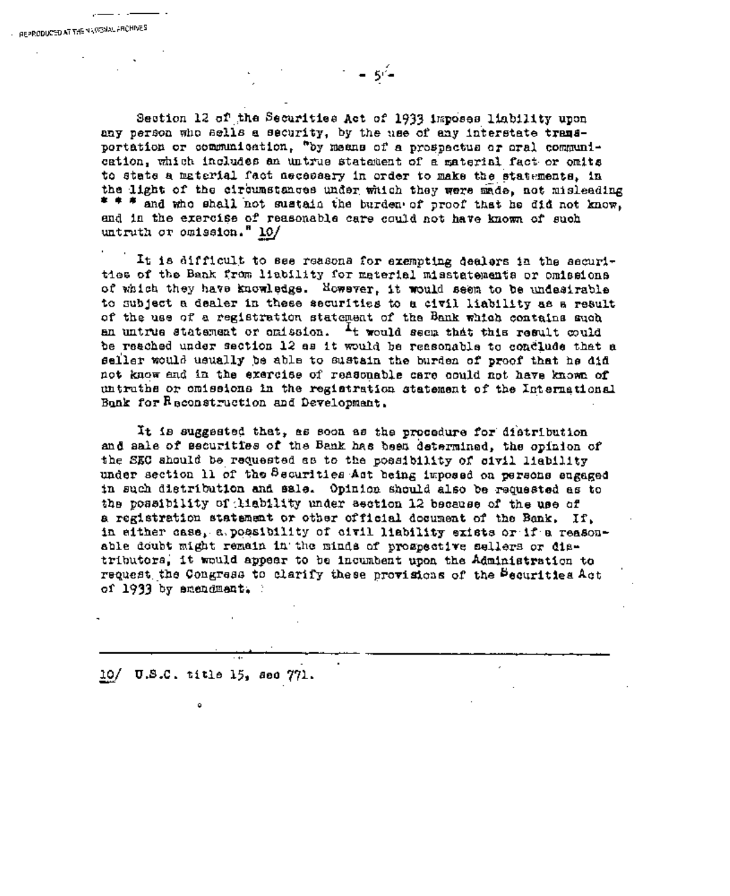Section 12 of the Securities Act of 1933 imposes liability upon any person who sells a security, by the use of any interstate transportation or communication, "by means of a prospectus or oral communication, which includes an untrue statement of a material fact. or omits to state a material fact necessary in order to make the statements, in the light of the circumstances under which they were made, not misleading  $* * *$  and who shall not sustain the burden of proof that he did not know, and in the exercise of reasonable care could not have known of such untruth or omission." 10/

– 54

It is difficult to see reasons for exempting dealers in the securities of the Bank from liability for material misstatemants or omissions of which they have knowledge. However, it would seem to be undesirable to subject a dealer in these securities to a civil liability as a result of the use of a registration statement of the Bank which contains such an untrue statement or omission.  $I_t$  would seem that this result could be reached under section 12 as it would be reasonable to conclude that a seller would usually be able to sustain the burden of proof that he did not know and in the exercise of reasonable care could not have known of untruths or omissions in ~he registration statement of the International Bank for R econstruction and Development.

It is suggested that, as soon as the procedure for distribution and sale of securities of the Bank has been determined, the opinion of the SEC should be requested as to the possibility of civil liability under section 11 of the Securities Act being imposed on persons engaged in such distribution and sale. Opinion should also be requested as to the possibility of tlability under section 12 because of the use of a registration statement or other official document of the Bank. If, in either case, a possibility of civil liability exists or if a reasonable doubt might remain in the minds of prospective sellers or distributors, it would appear to be incumbent upon the Administration to request the Congress to clarify these provisions of the Securities Act of 1933 by amendment. :

10/ U.S.C. title 15, see 771.

J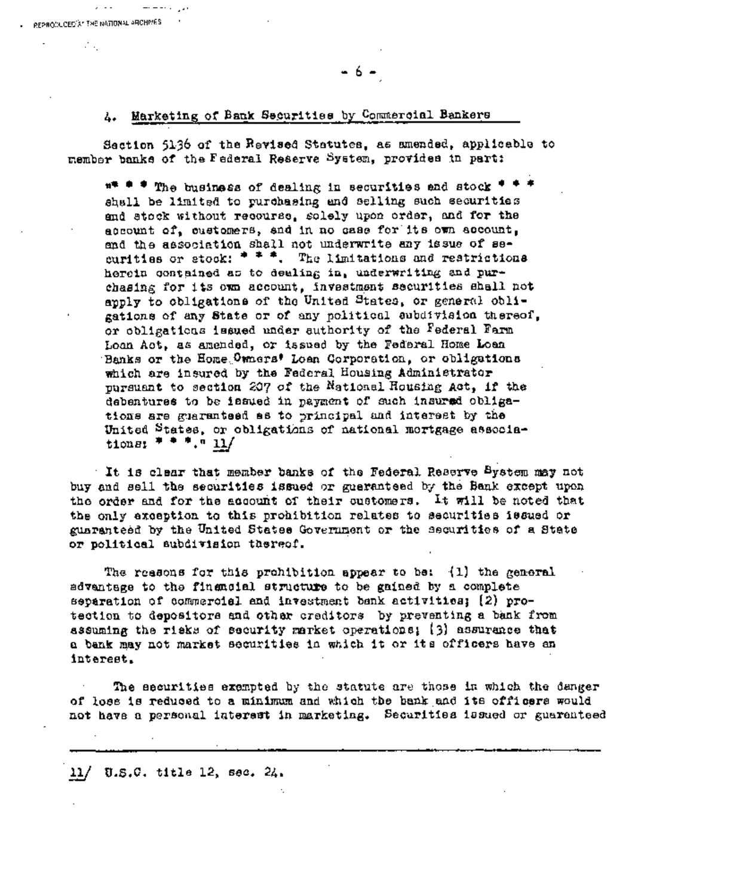#### 4. Marketing of Bank Securities by Commercial Bankers

 $\sim$   $\sim$   $\sim$ PERROGLOBER 24 THE NATIONAL ARCHIVES ИV,

> Section 5136 of the Revised Statutes, as amended, applicable to member banks of the Federal Reserve System, provides in part:

 $#$  \* \* The business of dealing in securities and stock \* \* \* shall be limited to purchasing and selling such securities and stock without recourse, solely upon order, and for the account of, customers, and in no case for its own account. and the association shall not underwrite any issue of securities or stock: \* \* \*. The limitations and restrictions herein contained as to dealing in, underwriting and purchasing for its own account, investment securities shall not apply to obligations of the United States, or general obligations of any State or of any political aubdivision thereof, or coligations issued under authority of the Federal Farm Loan Act, as amended, or issued by the Federal Home Loan Banks or the Home Owners' Loan Corporation, or obligations which are insured by the Federal Housing Administrator pursuant to section 207 of the National Housing Act, if the debentures to be issued in payment of such insured obligations are guaranteed as to principal and interest by the United States, or coligations of national mortgage associations:  $* * * ... * 11/$ 

It is clear that member banks of the Federal Reserve System may not buy and sell the securities issued or gueranteed by the Bank except upon the order and for the account of their customers. It will be noted that the only exception to this prohibition relates to securities issued or guaranteed by the United States Government or the securities of a State or political aubdivision thereof.

The reasons for this prohibition appear to be: (1) the general advantage to the financial structure to be gained by a complete separation of commercial and investment bank activitics; (2) protection to depositors and other creditors by preventing a bank from assuming the risks of security market operations; (3) assurance that a bank may not market securities in which it or its officers have an interest.

The securities exempted by the statute are those in which the danger of loss is reduced to a minimum and which the bank and its officers would not have a personal interest in marketing. Securities issued or guaranteed

11/ U.S.C. title 12, sec. 24.

6.